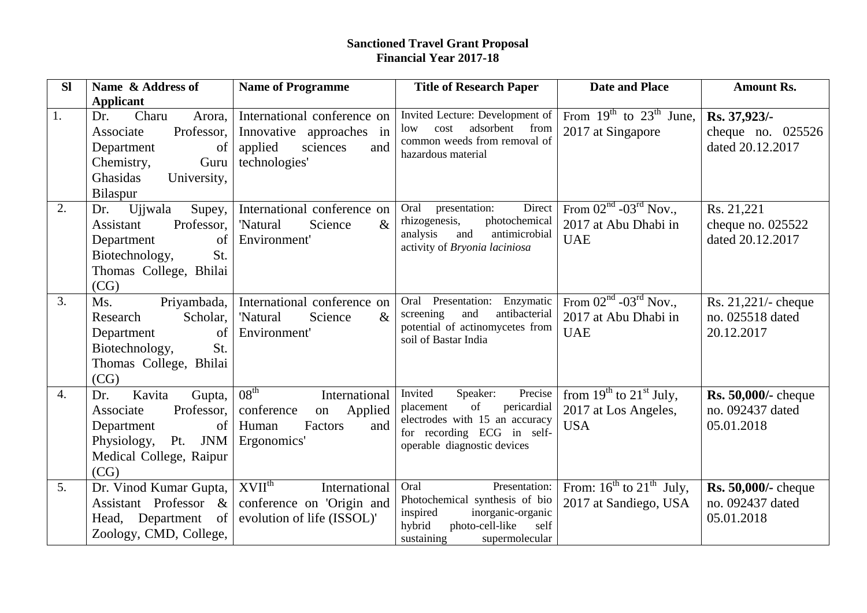## **Sanctioned Travel Grant Proposal Financial Year 2017-18**

| <b>SI</b>        | Name & Address of                                                                                                                                      | <b>Name of Programme</b>                                                                                   | <b>Title of Research Paper</b>                                                                                                                                  | <b>Date and Place</b>                                                   | <b>Amount Rs.</b>                                            |
|------------------|--------------------------------------------------------------------------------------------------------------------------------------------------------|------------------------------------------------------------------------------------------------------------|-----------------------------------------------------------------------------------------------------------------------------------------------------------------|-------------------------------------------------------------------------|--------------------------------------------------------------|
|                  | <b>Applicant</b>                                                                                                                                       |                                                                                                            |                                                                                                                                                                 |                                                                         |                                                              |
| 1.               | Charu<br>Dr.<br>Arora,<br>Associate<br>Professor,<br>Department<br>of<br>Chemistry,<br>Guru<br>Ghasidas<br>University,<br>Bilaspur                     | International conference on<br>Innovative approaches in<br>applied<br>sciences<br>and<br>technologies'     | Invited Lecture: Development of<br>adsorbent from<br>cost<br>low<br>common weeds from removal of<br>hazardous material                                          | From $19^{th}$ to $23^{th}$ June,<br>2017 at Singapore                  | Rs. 37,923/-<br>cheque no. $025526$<br>dated 20.12.2017      |
| 2.               | Ujjwala<br>Supey,<br>Dr.<br>Professor,<br>Assistant<br>Department<br>of<br>Biotechnology,<br>St.<br>Thomas College, Bhilai<br>(CG)                     | International conference on<br>$\&$<br>'Natural<br>Science<br>Environment'                                 | Direct<br>Oral presentation:<br>rhizogenesis,<br>photochemical<br>and<br>analysis<br>antimicrobial<br>activity of Bryonia laciniosa                             | From $02nd$ - $03rd$ Nov.,<br>2017 at Abu Dhabi in<br><b>UAE</b>        | Rs. 21,221<br>cheque no. $025522$<br>dated 20.12.2017        |
| 3.               | Priyambada,<br>Ms.<br>Research<br>Scholar,<br>of<br>Department<br>Biotechnology,<br>St.<br>Thomas College, Bhilai<br>(CG)                              | International conference on<br>$\&$<br>'Natural<br>Science<br>Environment'                                 | Oral Presentation: Enzymatic<br>screening<br>and<br>antibacterial<br>potential of actinomycetes from<br>soil of Bastar India                                    | From $02^{nd}$ - $03^{rd}$ Nov.,<br>2017 at Abu Dhabi in<br><b>UAE</b>  | Rs. 21,221/- cheque<br>no. 025518 dated<br>20.12.2017        |
| $\overline{4}$ . | Kavita<br>Gupta,<br>Dr.<br>Associate<br>Professor,<br>Department<br>$\vert$ of $\vert$<br>Physiology,<br>Pt.<br>JNM<br>Medical College, Raipur<br>(CG) | 08 <sup>th</sup><br>International<br>conference<br>Applied<br>on<br>Human<br>Factors<br>and<br>Ergonomics' | Invited<br>Speaker:<br>Precise<br>of<br>pericardial<br>placement<br>electrodes with 15 an accuracy<br>for recording ECG in self-<br>operable diagnostic devices | from $19^{th}$ to $21^{st}$ July,<br>2017 at Los Angeles,<br><b>USA</b> | <b>Rs. 50,000/-</b> cheque<br>no. 092437 dated<br>05.01.2018 |
| 5.               | Dr. Vinod Kumar Gupta,  <br>Assistant Professor &<br>Head, Department of<br>Zoology, CMD, College,                                                     | $XVII^{th}$<br>International<br>conference on 'Origin and<br>evolution of life (ISSOL)'                    | Presentation:<br>Oral<br>Photochemical synthesis of bio<br>inspired<br>inorganic-organic<br>hybrid<br>photo-cell-like<br>self<br>sustaining<br>supermolecular   | From: $16^{th}$ to $21^{th}$ July,<br>2017 at Sandiego, USA             | Rs. 50,000/- cheque<br>no. 092437 dated<br>05.01.2018        |